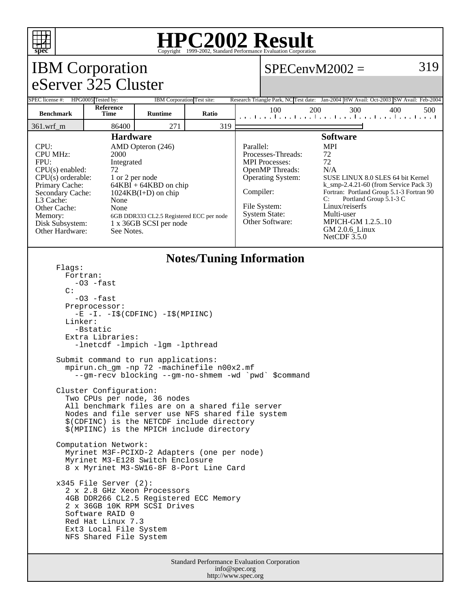

## **HPC2002 Result**

| Copyright @1999 2002, Dundard Ferrormance Evaluation Corporation<br><b>IBM</b> Corporation<br>$SPECenvM2002 =$                                                                                                                                                                                                                                                                                                                                 |                                                                                                                                                                                                                                                         |                            |       |                                                                                      |                                                                                                                                                                                                                                                                                                                                                                                                                                                              |     |     |     | 319 |  |
|------------------------------------------------------------------------------------------------------------------------------------------------------------------------------------------------------------------------------------------------------------------------------------------------------------------------------------------------------------------------------------------------------------------------------------------------|---------------------------------------------------------------------------------------------------------------------------------------------------------------------------------------------------------------------------------------------------------|----------------------------|-------|--------------------------------------------------------------------------------------|--------------------------------------------------------------------------------------------------------------------------------------------------------------------------------------------------------------------------------------------------------------------------------------------------------------------------------------------------------------------------------------------------------------------------------------------------------------|-----|-----|-----|-----|--|
| eServer 325 Cluster                                                                                                                                                                                                                                                                                                                                                                                                                            |                                                                                                                                                                                                                                                         |                            |       |                                                                                      |                                                                                                                                                                                                                                                                                                                                                                                                                                                              |     |     |     |     |  |
| SPEC license #: HPG0005 Tested by:                                                                                                                                                                                                                                                                                                                                                                                                             |                                                                                                                                                                                                                                                         | IBM Corporation Test site: |       | Research Triangle Park, NC Test date: Jan-2004 HW Avail: Oct-2003 SW Avail: Feb-2004 |                                                                                                                                                                                                                                                                                                                                                                                                                                                              |     |     |     |     |  |
| <b>Benchmark</b>                                                                                                                                                                                                                                                                                                                                                                                                                               | Reference<br><b>Time</b>                                                                                                                                                                                                                                | <b>Runtime</b>             | Ratio |                                                                                      | 100<br>المتماحية المتماحية المتماحية المتماحية المتم                                                                                                                                                                                                                                                                                                                                                                                                         | 200 | 300 | 400 | 500 |  |
| 361.wrf_m                                                                                                                                                                                                                                                                                                                                                                                                                                      | 86400                                                                                                                                                                                                                                                   | 271                        | 319   |                                                                                      |                                                                                                                                                                                                                                                                                                                                                                                                                                                              |     |     |     |     |  |
| <b>Hardware</b><br>CPU:<br>AMD Opteron (246)<br><b>CPU MHz:</b><br>2000<br>FPU:<br>Integrated<br>$CPU(s)$ enabled:<br>72<br>$CPU(s)$ orderable:<br>1 or 2 per node<br>Primary Cache:<br>$64KBI + 64KBD$ on chip<br>Secondary Cache:<br>$1024KB(I+D)$ on chip<br>L3 Cache:<br>None<br>Other Cache:<br>None<br>Memory:<br>6GB DDR333 CL2.5 Registered ECC per node<br>Disk Subsystem:<br>1 x 36GB SCSI per node<br>Other Hardware:<br>See Notes. |                                                                                                                                                                                                                                                         |                            |       | Parallel:<br>Compiler:                                                               | <b>Software</b><br><b>MPI</b><br>72<br>Processes-Threads:<br>72<br><b>MPI</b> Processes:<br>OpenMP Threads:<br>N/A<br><b>Operating System:</b><br>SUSE LINUX 8.0 SLES 64 bit Kernel<br>$k$ _smp-2.4.21-60 (from Service Pack 3)<br>Fortran: Portland Group 5.1-3 Fortran 90<br>Portland Group 5.1-3 C<br>C:<br>File System:<br>Linux/reiserfs<br><b>System State:</b><br>Multi-user<br>Other Software:<br>MPICH-GM 1.2.510<br>GM 2.0.6_Linux<br>NetCDF 3.5.0 |     |     |     |     |  |
| <b>Notes/Tuning Information</b><br>Flaqs:<br>Fortran:<br>-03 -fast<br>C:<br>$-03$ $-fast$<br>Preprocessor:<br>$-E$ $-I. -I\$ (CDFINC) $-I\$ (MPIINC)<br>Linker:<br>-Bstatic<br>Extra Libraries:<br>-lnetcdf -lmpich -lgm -lpthread                                                                                                                                                                                                             |                                                                                                                                                                                                                                                         |                            |       |                                                                                      |                                                                                                                                                                                                                                                                                                                                                                                                                                                              |     |     |     |     |  |
| Submit command to run applications:<br>mpirun.ch_gm -np 72 -machinefile n00x2.mf<br>--gm-recv blocking --gm-no-shmem -wd `pwd` \$command                                                                                                                                                                                                                                                                                                       |                                                                                                                                                                                                                                                         |                            |       |                                                                                      |                                                                                                                                                                                                                                                                                                                                                                                                                                                              |     |     |     |     |  |
|                                                                                                                                                                                                                                                                                                                                                                                                                                                | Cluster Configuration:<br>Two CPUs per node, 36 nodes<br>All benchmark files are on a shared file server<br>Nodes and file server use NFS shared file system<br>\$(CDFINC) is the NETCDF include directory<br>\$(MPIINC) is the MPICH include directory |                            |       |                                                                                      |                                                                                                                                                                                                                                                                                                                                                                                                                                                              |     |     |     |     |  |
| Computation Network:<br>Myrinet M3F-PCIXD-2 Adapters (one per node)<br>Myrinet M3-E128 Switch Enclosure<br>8 x Myrinet M3-SW16-8F 8-Port Line Card                                                                                                                                                                                                                                                                                             |                                                                                                                                                                                                                                                         |                            |       |                                                                                      |                                                                                                                                                                                                                                                                                                                                                                                                                                                              |     |     |     |     |  |
|                                                                                                                                                                                                                                                                                                                                                                                                                                                | $x345$ File Server (2):<br>2 x 2.8 GHz Xeon Processors<br>4GB DDR266 CL2.5 Registered ECC Memory<br>2 x 36GB 10K RPM SCSI Drives<br>Software RAID 0<br>Red Hat Linux 7.3<br>Ext3 Local File System<br>NFS Shared File System                            |                            |       |                                                                                      |                                                                                                                                                                                                                                                                                                                                                                                                                                                              |     |     |     |     |  |
| <b>Standard Performance Evaluation Corporation</b>                                                                                                                                                                                                                                                                                                                                                                                             |                                                                                                                                                                                                                                                         |                            |       |                                                                                      |                                                                                                                                                                                                                                                                                                                                                                                                                                                              |     |     |     |     |  |

info@spec.org http://www.spec.org